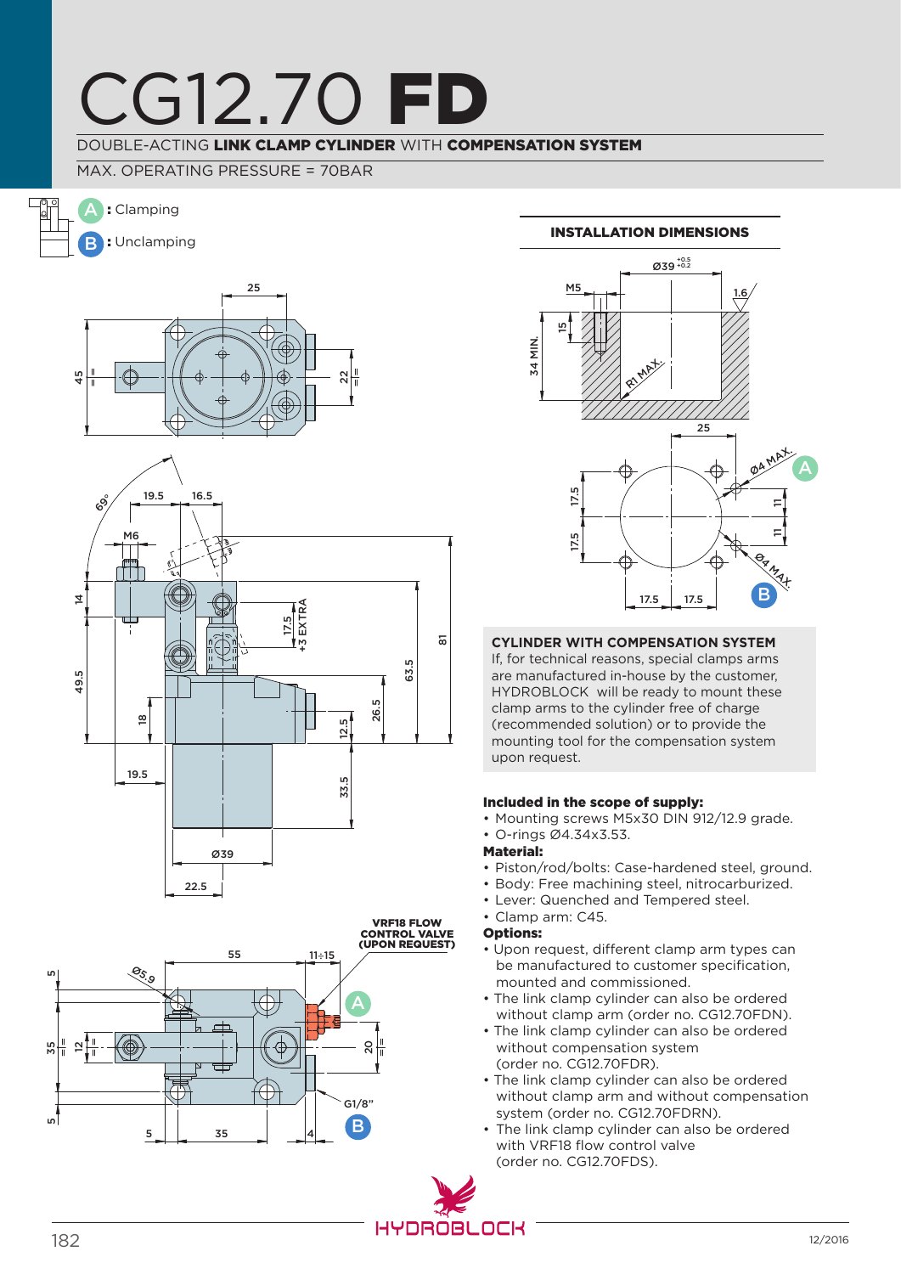## CG12.70 FI

## DOUBLE-ACTING LINK CLAMP CYLINDER WITH COMPENSATION SYSTEM

## MAX. OPERATING PRESSURE = 70BAR

A : Clamping

B : Unclamping





### Installation dimensions



## **Cylinder with compensation system**

If, for technical reasons, special clamps arms are manufactured in-house by the customer, HYDROBLOCK will be ready to mount these clamp arms to the cylinder free of charge (recommended solution) or to provide the mounting tool for the compensation system upon request.

#### Included in the scope of supply:

- Mounting screws M5x30 DIN 912/12.9 grade.
- O-rings Ø4.34x3.53.

#### Material:

- Piston/rod/bolts: Case-hardened steel, ground.
- Body: Free machining steel, nitrocarburized.
- Lever: Quenched and Tempered steel.
- Clamp arm: C45.

#### Options:

- Upon request, different clamp arm types can be manufactured to customer specification, mounted and commissioned.
- The link clamp cylinder can also be ordered without clamp arm (order no. CG12.70FDN).
- The link clamp cylinder can also be ordered without compensation system (order no. CG12.70FDR).
- The link clamp cylinder can also be ordered without clamp arm and without compensation system (order no. CG12.70FDRN).
- The link clamp cylinder can also be ordered with VRF18 flow control valve (order no. CG12.70FDS).